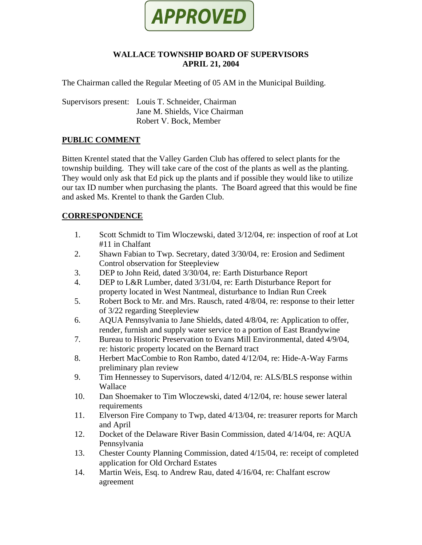

# **WALLACE TOWNSHIP BOARD OF SUPERVISORS APRIL 21, 2004**

The Chairman called the Regular Meeting of 05 AM in the Municipal Building.

Supervisors present: Louis T. Schneider, Chairman Jane M. Shields, Vice Chairman Robert V. Bock, Member

# **PUBLIC COMMENT**

Bitten Krentel stated that the Valley Garden Club has offered to select plants for the township building. They will take care of the cost of the plants as well as the planting. They would only ask that Ed pick up the plants and if possible they would like to utilize our tax ID number when purchasing the plants. The Board agreed that this would be fine and asked Ms. Krentel to thank the Garden Club.

# **CORRESPONDENCE**

- 1. Scott Schmidt to Tim Wloczewski, dated 3/12/04, re: inspection of roof at Lot #11 in Chalfant
- 2. Shawn Fabian to Twp. Secretary, dated 3/30/04, re: Erosion and Sediment Control observation for Steepleview
- 3. DEP to John Reid, dated 3/30/04, re: Earth Disturbance Report
- 4. DEP to L&R Lumber, dated 3/31/04, re: Earth Disturbance Report for property located in West Nantmeal, disturbance to Indian Run Creek
- 5. Robert Bock to Mr. and Mrs. Rausch, rated 4/8/04, re: response to their letter of 3/22 regarding Steepleview
- 6. AQUA Pennsylvania to Jane Shields, dated 4/8/04, re: Application to offer, render, furnish and supply water service to a portion of East Brandywine
- 7. Bureau to Historic Preservation to Evans Mill Environmental, dated 4/9/04, re: historic property located on the Bernard tract
- 8. Herbert MacCombie to Ron Rambo, dated 4/12/04, re: Hide-A-Way Farms preliminary plan review
- 9. Tim Hennessey to Supervisors, dated 4/12/04, re: ALS/BLS response within Wallace
- 10. Dan Shoemaker to Tim Wloczewski, dated 4/12/04, re: house sewer lateral requirements
- 11. Elverson Fire Company to Twp, dated 4/13/04, re: treasurer reports for March and April
- 12. Docket of the Delaware River Basin Commission, dated 4/14/04, re: AQUA Pennsylvania
- 13. Chester County Planning Commission, dated 4/15/04, re: receipt of completed application for Old Orchard Estates
- 14. Martin Weis, Esq. to Andrew Rau, dated 4/16/04, re: Chalfant escrow agreement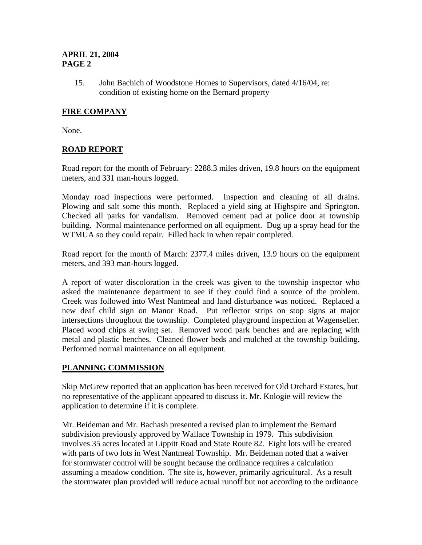15. John Bachich of Woodstone Homes to Supervisors, dated 4/16/04, re: condition of existing home on the Bernard property

# **FIRE COMPANY**

None.

# **ROAD REPORT**

Road report for the month of February: 2288.3 miles driven, 19.8 hours on the equipment meters, and 331 man-hours logged.

Monday road inspections were performed. Inspection and cleaning of all drains. Plowing and salt some this month. Replaced a yield sing at Highspire and Springton. Checked all parks for vandalism. Removed cement pad at police door at township building. Normal maintenance performed on all equipment. Dug up a spray head for the WTMUA so they could repair. Filled back in when repair completed.

Road report for the month of March: 2377.4 miles driven, 13.9 hours on the equipment meters, and 393 man-hours logged.

A report of water discoloration in the creek was given to the township inspector who asked the maintenance department to see if they could find a source of the problem. Creek was followed into West Nantmeal and land disturbance was noticed. Replaced a new deaf child sign on Manor Road. Put reflector strips on stop signs at major intersections throughout the township. Completed playground inspection at Wagenseller. Placed wood chips at swing set. Removed wood park benches and are replacing with metal and plastic benches. Cleaned flower beds and mulched at the township building. Performed normal maintenance on all equipment.

# **PLANNING COMMISSION**

Skip McGrew reported that an application has been received for Old Orchard Estates, but no representative of the applicant appeared to discuss it. Mr. Kologie will review the application to determine if it is complete.

Mr. Beideman and Mr. Bachash presented a revised plan to implement the Bernard subdivision previously approved by Wallace Township in 1979. This subdivision involves 35 acres located at Lippitt Road and State Route 82. Eight lots will be created with parts of two lots in West Nantmeal Township. Mr. Beideman noted that a waiver for stormwater control will be sought because the ordinance requires a calculation assuming a meadow condition. The site is, however, primarily agricultural. As a result the stormwater plan provided will reduce actual runoff but not according to the ordinance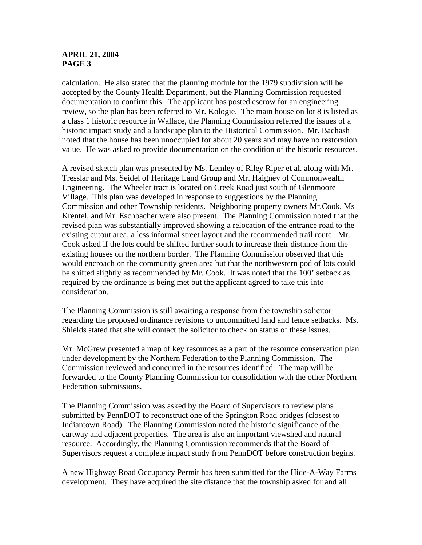calculation. He also stated that the planning module for the 1979 subdivision will be accepted by the County Health Department, but the Planning Commission requested documentation to confirm this. The applicant has posted escrow for an engineering review, so the plan has been referred to Mr. Kologie. The main house on lot 8 is listed as a class 1 historic resource in Wallace, the Planning Commission referred the issues of a historic impact study and a landscape plan to the Historical Commission. Mr. Bachash noted that the house has been unoccupied for about 20 years and may have no restoration value. He was asked to provide documentation on the condition of the historic resources.

A revised sketch plan was presented by Ms. Lemley of Riley Riper et al. along with Mr. Tresslar and Ms. Seidel of Heritage Land Group and Mr. Haigney of Commonwealth Engineering. The Wheeler tract is located on Creek Road just south of Glenmoore Village. This plan was developed in response to suggestions by the Planning Commission and other Township residents. Neighboring property owners Mr.Cook, Ms Krentel, and Mr. Eschbacher were also present. The Planning Commission noted that the revised plan was substantially improved showing a relocation of the entrance road to the existing cutout area, a less informal street layout and the recommended trail route. Mr. Cook asked if the lots could be shifted further south to increase their distance from the existing houses on the northern border. The Planning Commission observed that this would encroach on the community green area but that the northwestern pod of lots could be shifted slightly as recommended by Mr. Cook. It was noted that the 100' setback as required by the ordinance is being met but the applicant agreed to take this into consideration.

The Planning Commission is still awaiting a response from the township solicitor regarding the proposed ordinance revisions to uncommitted land and fence setbacks. Ms. Shields stated that she will contact the solicitor to check on status of these issues.

Mr. McGrew presented a map of key resources as a part of the resource conservation plan under development by the Northern Federation to the Planning Commission. The Commission reviewed and concurred in the resources identified. The map will be forwarded to the County Planning Commission for consolidation with the other Northern Federation submissions.

The Planning Commission was asked by the Board of Supervisors to review plans submitted by PennDOT to reconstruct one of the Springton Road bridges (closest to Indiantown Road). The Planning Commission noted the historic significance of the cartway and adjacent properties. The area is also an important viewshed and natural resource. Accordingly, the Planning Commission recommends that the Board of Supervisors request a complete impact study from PennDOT before construction begins.

A new Highway Road Occupancy Permit has been submitted for the Hide-A-Way Farms development. They have acquired the site distance that the township asked for and all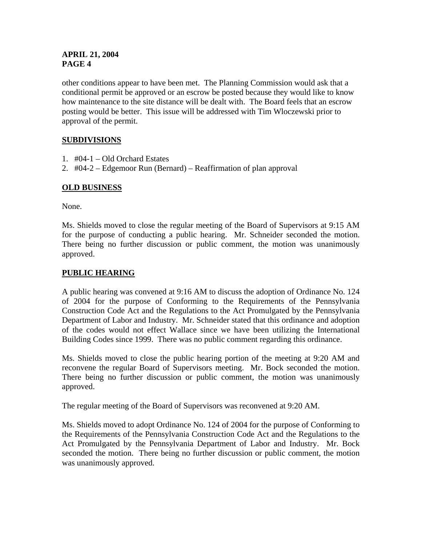other conditions appear to have been met. The Planning Commission would ask that a conditional permit be approved or an escrow be posted because they would like to know how maintenance to the site distance will be dealt with. The Board feels that an escrow posting would be better. This issue will be addressed with Tim Wloczewski prior to approval of the permit.

# **SUBDIVISIONS**

- 1. #04-1 Old Orchard Estates
- 2. #04-2 Edgemoor Run (Bernard) Reaffirmation of plan approval

# **OLD BUSINESS**

None.

Ms. Shields moved to close the regular meeting of the Board of Supervisors at 9:15 AM for the purpose of conducting a public hearing. Mr. Schneider seconded the motion. There being no further discussion or public comment, the motion was unanimously approved.

# **PUBLIC HEARING**

A public hearing was convened at 9:16 AM to discuss the adoption of Ordinance No. 124 of 2004 for the purpose of Conforming to the Requirements of the Pennsylvania Construction Code Act and the Regulations to the Act Promulgated by the Pennsylvania Department of Labor and Industry. Mr. Schneider stated that this ordinance and adoption of the codes would not effect Wallace since we have been utilizing the International Building Codes since 1999. There was no public comment regarding this ordinance.

Ms. Shields moved to close the public hearing portion of the meeting at 9:20 AM and reconvene the regular Board of Supervisors meeting. Mr. Bock seconded the motion. There being no further discussion or public comment, the motion was unanimously approved.

The regular meeting of the Board of Supervisors was reconvened at 9:20 AM.

Ms. Shields moved to adopt Ordinance No. 124 of 2004 for the purpose of Conforming to the Requirements of the Pennsylvania Construction Code Act and the Regulations to the Act Promulgated by the Pennsylvania Department of Labor and Industry. Mr. Bock seconded the motion. There being no further discussion or public comment, the motion was unanimously approved.